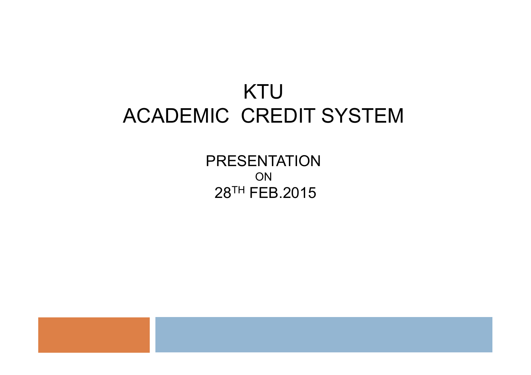## KTU ACADEMIC CREDIT SYSTEM

PRESENTATION ON 28TH FEB.2015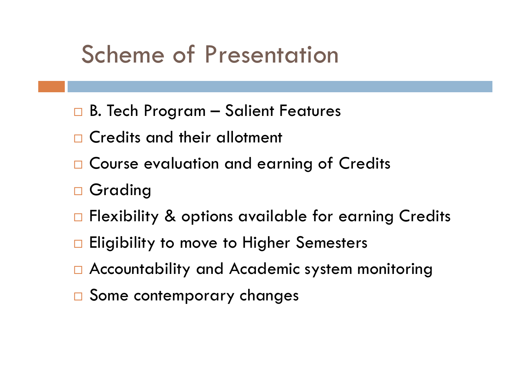## Scheme of Presentation

- $\Box$  B. Tech Program Salient Features
- Credits and their allotment
- □ Course evaluation and earning of Credits
- □ Grading
- □ Flexibility & options available for earning Credits
- $\Box$  Eligibility to move to Higher Semesters
- Accountability and Academic system monitoring
- □ Some contemporary changes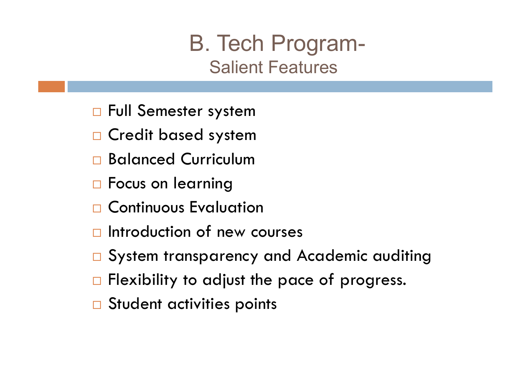## B. Tech Program- Salient Features

- □ Full Semester system
- □ Credit based system
- Balanced Curriculum
- □ Focus on learning
- □ Continuous Evaluation
- $\Box$  Introduction of new courses
- □ System transparency and Academic auditing
- $\Box$  Flexibility to adjust the pace of progress.
- □ Student activities points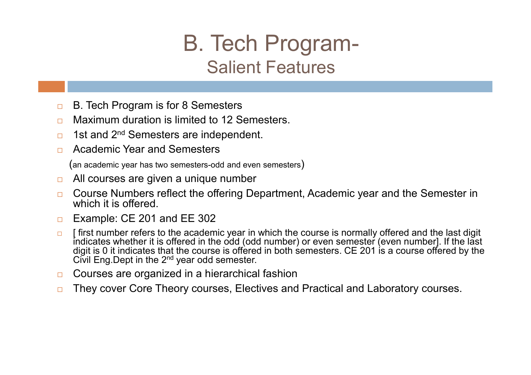## B. Tech Program- Salient Features

- **□** B. Tech Program is for 8 Semesters
- **□** Maximum duration is limited to 12 Semesters.
- □ 1st and 2<sup>nd</sup> Semesters are independent.
- Academic Year and Semesters

(an academic year has two semesters-odd and even semesters)

- □ All courses are given a unique number
- □ Course Numbers reflect the offering Department, Academic year and the Semester in which it is offered.
- □ Example: CE 201 and EE 302
- $\Box$  I first number refers to the academic vear in which the course is normally offered and the last digit indicates whether it is offered in the odd (odd number) or even semester (even number]. If the last digit is 0 it indicates that the course is offered in both semesters. CE 201 is a course offered by the Civil Eng. Dept in the 2<sup>nd</sup> year odd semester.
- □ Courses are organized in a hierarchical fashion
- □ They cover Core Theory courses, Electives and Practical and Laboratory courses.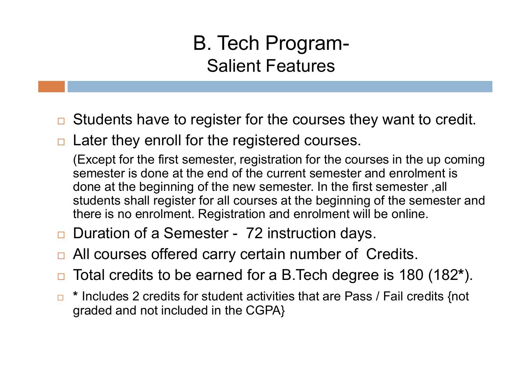#### B. Tech Program-Salient Features

- $\Box$  Students have to register for the courses they want to credit.
- Later they enroll for the registered courses.

(Except for the first semester, registration for the courses in the up coming semester is done at the end of the current semester and enrolment is done at the beginning of the new semester. In the first semester ,all students shall register for all courses at the beginning of the semester and there is no enrolment. Registration and enrolment will be online.

- Duration of a Semester 72 instruction days.
- All courses offered carry certain number of Credits.
- Total credits to be earned for a B.Tech degree is 180 (182\*).
- \* Includes 2 credits for student activities that are Pass / Fail credits {not graded and not included in the CGPA}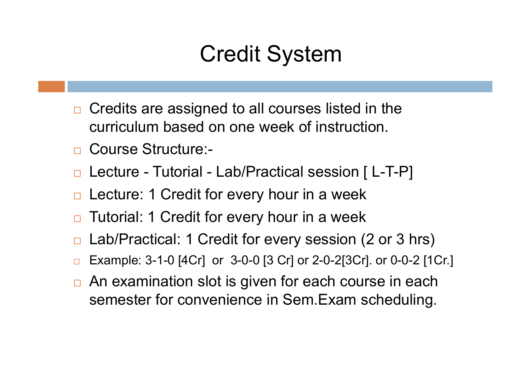## Credit System

- $\Box$  Credits are assigned to all courses listed in the curriculum based on one week of instruction.
- □ Course Structure:-
- □ Lecture Tutorial Lab/Practical session [L-T-P]
- Lecture: 1 Credit for every hour in a week
- Tutorial: 1 Credit for every hour in a week
- Lab/Practical: 1 Credit for every session (2 or 3 hrs)
- Example: 3-1-0 [4Cr] or 3-0-0 [3 Cr] or 2-0-2[3Cr]. or 0-0-2 [1Cr.]
- □ An examination slot is given for each course in each semester for convenience in Sem.Exam scheduling.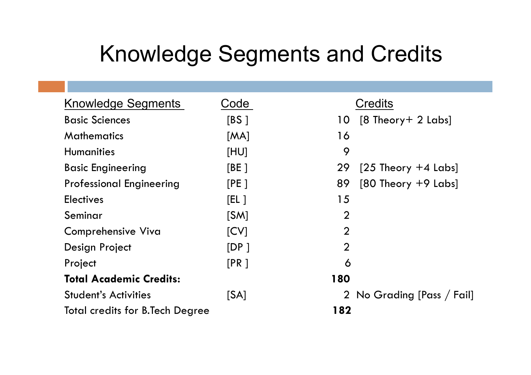## Knowledge Segments and Credits

| Knowledge Segments                     | Code  | <b>Credits</b>                |  |
|----------------------------------------|-------|-------------------------------|--|
| <b>Basic Sciences</b>                  | [BS]  | $[8$ Theory + 2 Labs]<br>10   |  |
| <b>Mathematics</b>                     | [MA]  | 16                            |  |
| <b>Humanities</b>                      | [HU]  | 9                             |  |
| <b>Basic Engineering</b>               | [BE ] | 29<br>$[25$ Theory $+4$ Labs] |  |
| <b>Professional Engineering</b>        | [PE]  | 89<br>$[80$ Theory $+9$ Labs] |  |
| <b>Electives</b>                       | [EL ] | 15                            |  |
| Seminar                                | [SM]  | $\overline{2}$                |  |
| <b>Comprehensive Viva</b>              | [CV]  | $\overline{2}$                |  |
| Design Project                         | [DP]  | $\boldsymbol{2}$              |  |
| Project                                | [PR]  | 6                             |  |
| <b>Total Academic Credits:</b>         |       | 180                           |  |
| <b>Student's Activities</b>            | [SA]  | 2 No Grading [Pass / Fail]    |  |
| <b>Total credits for B.Tech Degree</b> |       | 182                           |  |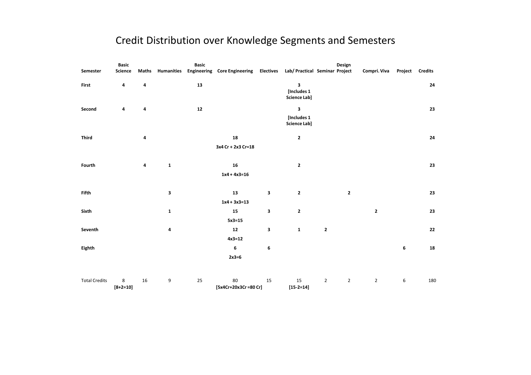#### Credit Distribution over Knowledge Segments and Semesters

|                      | <b>Basic</b>    |       |                   | <b>Basic</b> |                                                                       |    |                                         |                | Design         |                |                  |                |
|----------------------|-----------------|-------|-------------------|--------------|-----------------------------------------------------------------------|----|-----------------------------------------|----------------|----------------|----------------|------------------|----------------|
| Semester             | Science         | Maths | <b>Humanities</b> |              | Engineering Core Engineering Electives Lab/ Practical Seminar Project |    |                                         |                |                | Compri. Viva   | Project          | <b>Credits</b> |
| First                | 4               | 4     |                   | 13           |                                                                       |    | 3<br>[Includes 1<br><b>Science Lab]</b> |                |                |                |                  | 24             |
| Second               | 4               | 4     |                   | 12           |                                                                       |    | 3<br>[Includes 1<br><b>Science Lab]</b> |                |                |                |                  | 23             |
| <b>Third</b>         |                 | 4     |                   |              | 18<br>3x4 Cr + 2x3 Cr=18                                              |    | $\mathbf{2}$                            |                |                |                |                  | 24             |
| Fourth               |                 | 4     | $\mathbf{1}$      |              | ${\bf 16}$<br>$1x4 + 4x3 = 16$                                        |    | $\mathbf{2}$                            |                |                |                |                  | 23             |
| <b>Fifth</b>         |                 |       | 3                 |              | 13<br>$1x4 + 3x3=13$                                                  | 3  | $\mathbf{2}$                            |                | $\mathbf{2}$   |                |                  | 23             |
| Sixth                |                 |       | $\mathbf{1}$      |              | 15<br>$5x3=15$                                                        | 3  | $\mathbf{2}$                            |                |                | $\mathbf 2$    |                  | 23             |
| Seventh              |                 |       | 4                 |              | ${\bf 12}$<br>$4x3=12$                                                | 3  | $\mathbf 1$                             | $\mathbf{2}$   |                |                |                  | 22             |
| Eighth               |                 |       |                   |              | 6<br>$2x3=6$                                                          | 6  |                                         |                |                |                | 6                | 18             |
| <b>Total Credits</b> | 8<br>$[8+2=10]$ | 16    | 9                 | 25           | 80<br>[5x4Cr+20x3Cr=80 Cr]                                            | 15 | 15<br>$[15 - 2 = 14]$                   | $\overline{2}$ | $\overline{2}$ | $\overline{2}$ | $\boldsymbol{6}$ | 180            |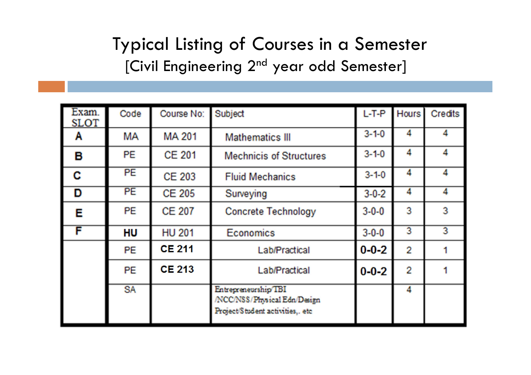#### Typical Listing of Courses in a Semester [Civil Engineering 2<sup>nd</sup> year odd Semester]

| Exam.<br><b>SLOT</b> | Code      | Course No:    | Subject                                                                                  | $L-T-P$     | <b>Hours</b> | Credits |
|----------------------|-----------|---------------|------------------------------------------------------------------------------------------|-------------|--------------|---------|
| Α                    | MА        | <b>MA 201</b> | <b>Mathematics III</b>                                                                   | $3 - 1 - 0$ | 4            |         |
| в                    | PE        | <b>CE 201</b> | <b>Mechnicis of Structures</b>                                                           | $3 - 1 - 0$ | 4            | 4       |
| C                    | <b>PE</b> | <b>CE 203</b> | <b>Fluid Mechanics</b>                                                                   | $3 - 1 - 0$ | 4            |         |
| D                    | <b>PE</b> | <b>CE 205</b> | Surveying                                                                                | $3 - 0 - 2$ | 4            | 4       |
| Е                    | <b>PE</b> | <b>CE 207</b> | <b>Concrete Technology</b>                                                               | $3 - 0 - 0$ | 3            | 3       |
| F                    | <b>HU</b> | <b>HU 201</b> | <b>Economics</b>                                                                         | $3 - 0 - 0$ | 3            | 3       |
|                      | PE        | <b>CE 211</b> | Lab/Practical                                                                            | $0 - 0 - 2$ | 2            |         |
|                      | PE        | <b>CE 213</b> | Lab/Practical                                                                            | $0 - 0 - 2$ | 2            |         |
|                      | <b>SA</b> |               | Entrepreneurship TBI<br>NCC/NSS/Physical Edn/Design<br>Project/Student activities,. etc. |             | 4            |         |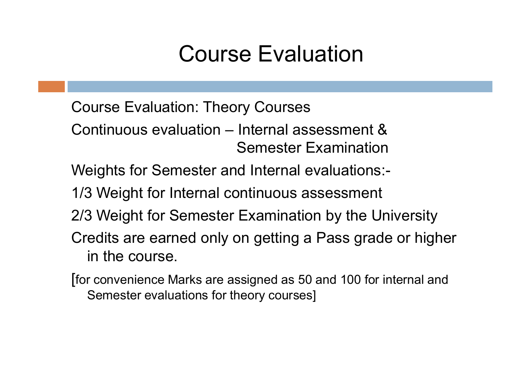## Course Evaluation

- Course Evaluation: Theory Courses
- Continuous evaluation Internal assessment & Semester Examination
- Weights for Semester and Internal evaluations:-
- 1/3 Weight for Internal continuous assessment
- 2/3 Weight for Semester Examination by the University
- Credits are earned only on getting a Pass grade or higher in the course.
- [for convenience Marks are assigned as 50 and 100 for internal and Semester evaluations for theory courses]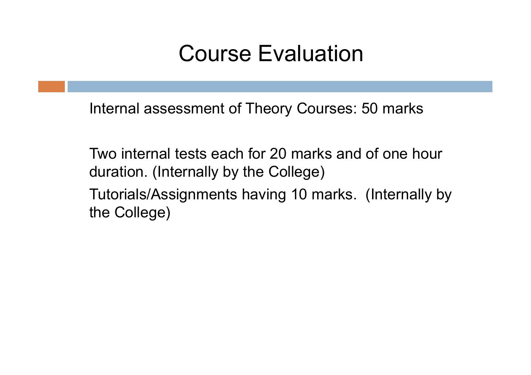## Course Evaluation

Internal assessment of Theory Courses: 50 marks

Two internal tests each for 20 marks and of one hour duration. (Internally by the College) Tutorials/Assignments having 10 marks. (Internally by the College)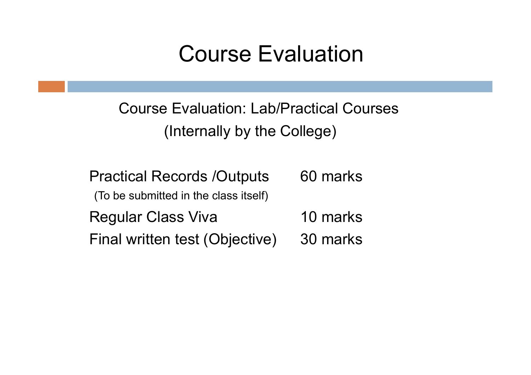### Course Evaluation

Course Evaluation: Lab/Practical Courses (Internally by the College)

Practical Records /Outputs 60 marks (To be submitted in the class itself) Regular Class Viva 10 marks Final written test (Objective) 30 marks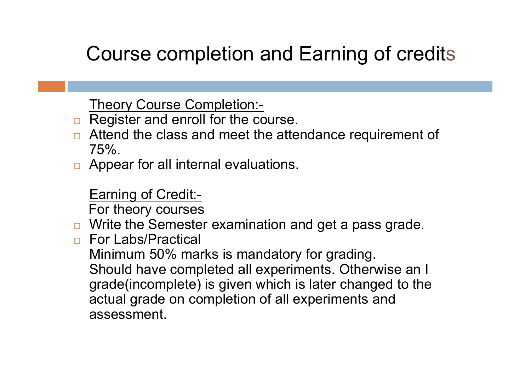#### Course completion and Earning of credits

Theory Course Completion:-

- $\Box$  Register and enroll for the course.
- $\Box$  Attend the class and meet the attendance requirement of 75%.
- $\Box$  Appear for all internal evaluations.

Earning of Credit:-

For theory courses

- $\Box$  Write the Semester examination and get a pass grade.
- □ For Labs/Practical

Minimum 50% marks is mandatory for grading. Should have completed all experiments. Otherwise an I grade(incomplete) is given which is later changed to the actual grade on completion of all experiments and assessment.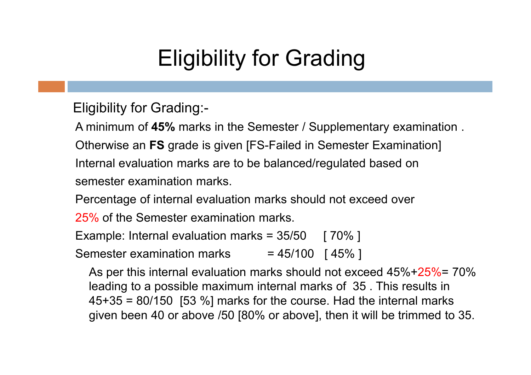## Eligibility for Grading

Eligibility for Grading:-

A minimum of 45% marks in the Semester / Supplementary examination . Otherwise an FS grade is given [FS-Failed in Semester Examination]

Internal evaluation marks are to be balanced/regulated based on semester examination marks.

Percentage of internal evaluation marks should not exceed over

25% of the Semester examination marks.

Example: Internal evaluation marks =  $35/50$  [  $70\%$  ] Semester examination marks  $= 45/100$  [45%]

As per this internal evaluation marks should not exceed 45%+25%= 70% leading to a possible maximum internal marks of 35 . This results in  $45+35 = 80/150$  [53 %] marks for the course. Had the internal marks given been 40 or above /50 [80% or above], then it will be trimmed to 35.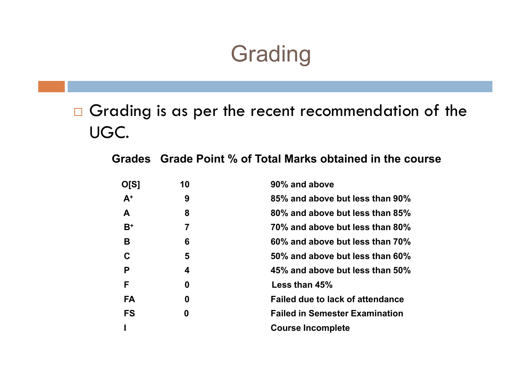## **Grading**

Grading is as per the recent recommendation of the UGC.

Grades Grade Point % of Total Marks obtained in the course

| O[S]      | 10 | 90% and above                           |
|-----------|----|-----------------------------------------|
| $A^+$     | 9  | 85% and above but less than 90%         |
| A         | 8  | 80% and above but less than 85%         |
| $B^+$     | 7  | 70% and above but less than 80%         |
| В         | 6  | 60% and above but less than 70%         |
| C         | 5  | 50% and above but less than 60%         |
| P         | 4  | 45% and above but less than 50%         |
| F         | 0  | Less than 45%                           |
| <b>FA</b> | 0  | <b>Failed due to lack of attendance</b> |
| <b>FS</b> | 0  | <b>Failed in Semester Examination</b>   |
|           |    | <b>Course Incomplete</b>                |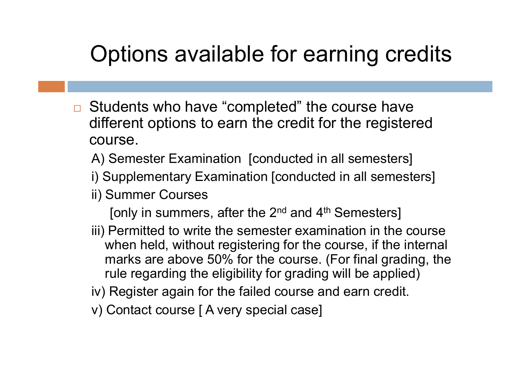## Options available for earning credits

- **□** Students who have "completed" the course have different options to earn the credit for the registered course.
	- A) Semester Examination [conducted in all semesters]
	- i) Supplementary Examination [conducted in all semesters]
	- ii) Summer Courses
		- [only in summers, after the  $2^{nd}$  and  $4^{th}$  Semesters]
	- iii) Permitted to write the semester examination in the course when held, without registering for the course, if the internal marks are above 50% for the course. (For final grading, the rule regarding the eligibility for grading will be applied)
	- iv) Register again for the failed course and earn credit.
	- v) Contact course [ A very special case]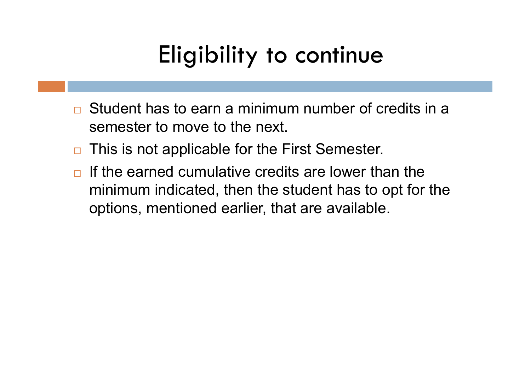## Eligibility to continue

- **□** Student has to earn a minimum number of credits in a semester to move to the next.
- $\Box$  This is not applicable for the First Semester.
- $\Box$  If the earned cumulative credits are lower than the minimum indicated, then the student has to opt for the options, mentioned earlier, that are available.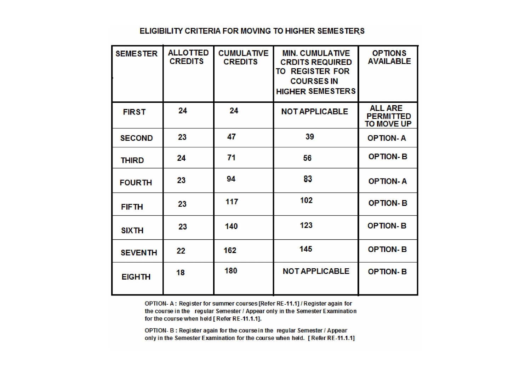#### ELIGIBILITY CRITERIA FOR MOVING TO HIGHER SEMESTERS

| <b>SEMESTER</b> | <b>ALLOTTED</b><br><b>CREDITS</b> | <b>CUMULATIVE</b><br><b>CREDITS</b> | <b>MIN. CUMULATIVE</b><br><b>CRDITS REQUIRED</b><br><b>TO REGISTER FOR</b><br><b>COURSES IN</b><br><b>HIGHER SEMESTERS</b> | <b>OPTIONS</b><br><b>AVAILABLE</b>               |
|-----------------|-----------------------------------|-------------------------------------|----------------------------------------------------------------------------------------------------------------------------|--------------------------------------------------|
| <b>FIRST</b>    | 24                                | 24                                  | <b>NOT APPLICABLE</b>                                                                                                      | <b>ALL ARE</b><br><b>PERMITTED</b><br>TO MOVE UP |
| <b>SECOND</b>   | 23                                | 47                                  | 39                                                                                                                         | <b>OPTION-A</b>                                  |
| <b>THIRD</b>    | 24                                | 71                                  | 56                                                                                                                         | <b>OPTION-B</b>                                  |
| <b>FOURTH</b>   | 23                                | 94                                  | 83                                                                                                                         | <b>OPTION-A</b>                                  |
| <b>FIFTH</b>    | 23                                | 117                                 | 102                                                                                                                        | <b>OPTION-B</b>                                  |
| <b>SIX TH</b>   | 23                                | 140                                 | 123                                                                                                                        | <b>OPTION-B</b>                                  |
| <b>SEVENTH</b>  | 22                                | 162                                 | 145                                                                                                                        | <b>OPTION-B</b>                                  |
| <b>EIGHTH</b>   | 18                                | 180                                 | <b>NOT APPLICABLE</b>                                                                                                      | <b>OPTION-B</b>                                  |

OPTION- A: Register for summer courses [Refer RE-11.1] / Register again for the course in the regular Semester / Appear only in the Semester Examination for the course when held [ Refer RE-11.1.1].

OPTION- B: Register again for the course in the regular Semester / Appear only in the Semester Examination for the course when held. [ Refer RE-11.1.1]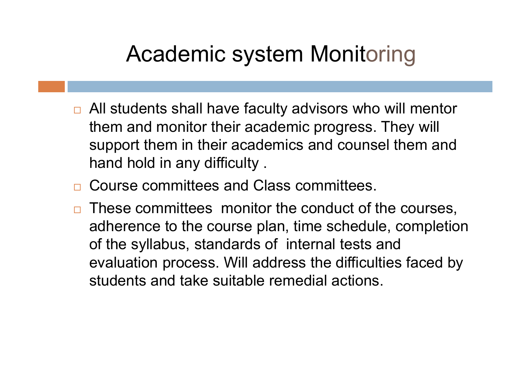## Academic system Monitoring

- □ All students shall have faculty advisors who will mentor them and monitor their academic progress. They will support them in their academics and counsel them and hand hold in any difficulty .
- □ Course committees and Class committees.
- These committees monitor the conduct of the courses, adherence to the course plan, time schedule, completion of the syllabus, standards of internal tests and evaluation process. Will address the difficulties faced by students and take suitable remedial actions.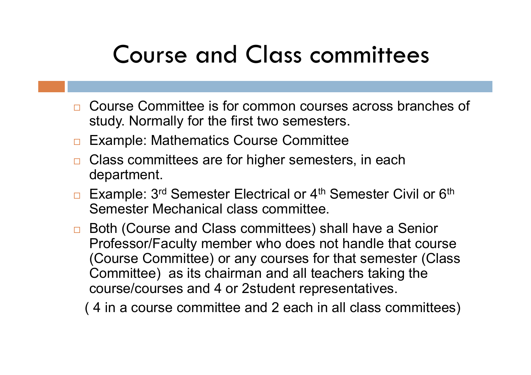# Course and Class committees

- **□** Course Committee is for common courses across branches of study. Normally for the first two semesters.
- **□ Example: Mathematics Course Committee**
- $\Box$  Class committees are for higher semesters, in each department.
- □ Example: 3<sup>rd</sup> Semester Electrical or 4<sup>th</sup> Semester Civil or 6<sup>th</sup> Semester Mechanical class committee.
- □ Both (Course and Class committees) shall have a Senior Professor/Faculty member who does not handle that course (Course Committee) or any courses for that semester (Class Committee) as its chairman and all teachers taking the course/courses and 4 or 2student representatives.

( 4 in a course committee and 2 each in all class committees)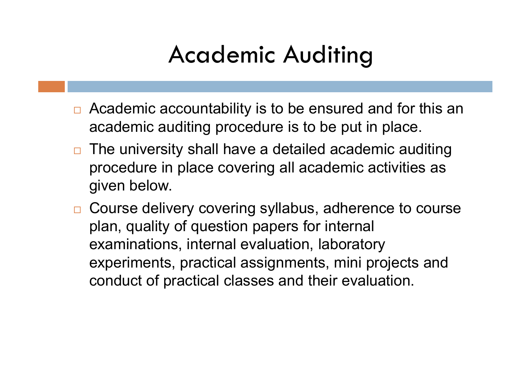# Academic Auditing

- □ Academic accountability is to be ensured and for this an academic auditing procedure is to be put in place.
- $\Box$  The university shall have a detailed academic auditing procedure in place covering all academic activities as given below.
- □ Course delivery covering syllabus, adherence to course plan, quality of question papers for internal examinations, internal evaluation, laboratory experiments, practical assignments, mini projects and conduct of practical classes and their evaluation.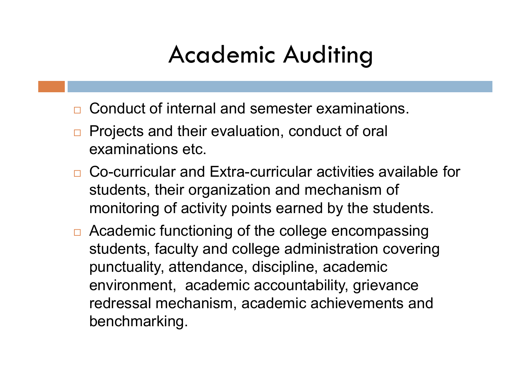# Academic Auditing

- **□** Conduct of internal and semester examinations.
- □ Projects and their evaluation, conduct of oral examinations etc.
- □ Co-curricular and Extra-curricular activities available for students, their organization and mechanism of monitoring of activity points earned by the students.
- □ Academic functioning of the college encompassing students, faculty and college administration covering punctuality, attendance, discipline, academic environment, academic accountability, grievance redressal mechanism, academic achievements and benchmarking.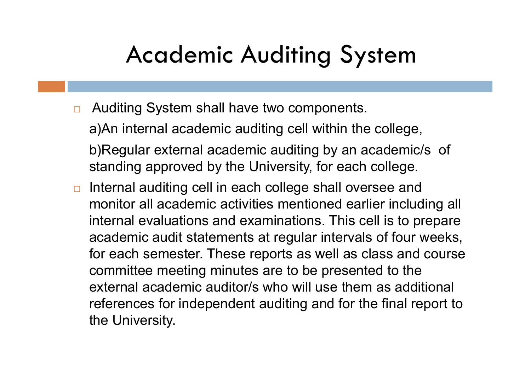## Academic Auditing System

□ Auditing System shall have two components.

a)An internal academic auditing cell within the college, b)Regular external academic auditing by an academic/s of standing approved by the University, for each college.

**□** Internal auditing cell in each college shall oversee and monitor all academic activities mentioned earlier including all internal evaluations and examinations. This cell is to prepare academic audit statements at regular intervals of four weeks, for each semester. These reports as well as class and course committee meeting minutes are to be presented to the external academic auditor/s who will use them as additional references for independent auditing and for the final report to the University.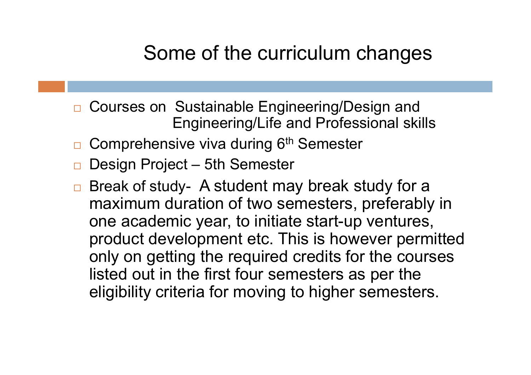- Courses on Sustainable Engineering/Design and Engineering/Life and Professional skills
- Comprehensive viva during 6<sup>th</sup> Semester
- □ Design Project 5th Semester
- □ Break of study- A student may break study for a maximum duration of two semesters, preferably in one academic year, to initiate start-up ventures, product development etc. This is however permitted only on getting the required credits for the courses listed out in the first four semesters as per the eligibility criteria for moving to higher semesters.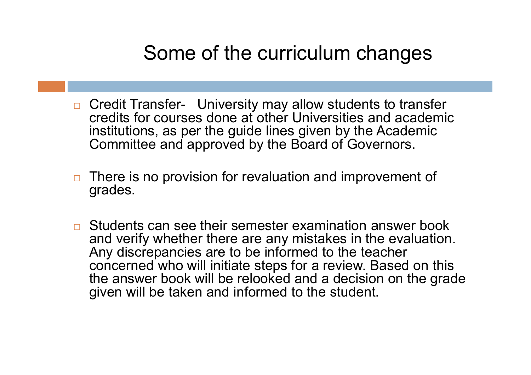- □ Credit Transfer- University may allow students to transfer credits for courses done at other Universities and academic institutions, as per the guide lines given by the Academic Committee and approved by the Board of Governors.
- $\Box$  There is no provision for revaluation and improvement of grades.
- **□** Students can see their semester examination answer book and verify whether there are any mistakes in the evaluation. Any discrepancies are to be informed to the teacher concerned who will initiate steps for a review. Based on this the answer book will be relooked and a decision on the grade given will be taken and informed to the student.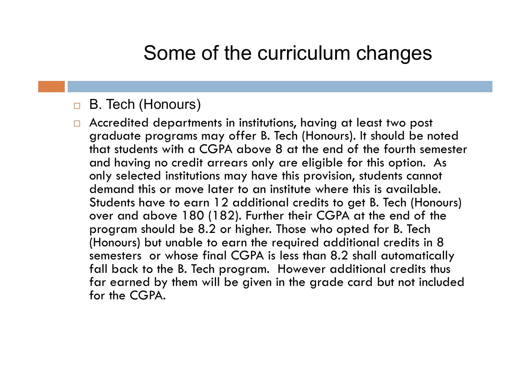#### **B.** Tech (Honours)

□ Accredited departments in institutions, having at least two post graduate programs may offer B. Tech (Honours). It should be noted that students with a CGPA above 8 at the end of the fourth semester and having no credit arrears only are eligible for this option. As only selected institutions may have this provision, students cannot demand this or move later to an institute where this is available. Students have to earn 12 additional credits to get B. Tech (Honours) over and above 180 (182). Further their CGPA at the end of the program should be 8.2 or higher. Those who opted for B. Tech (Honours) but unable to earn the required additional credits in 8 semesters or whose final CGPA is less than 8.2 shall automatically fall back to the B. Tech program. However additional credits thus far earned by them will be given in the grade card but not included for the CGPA.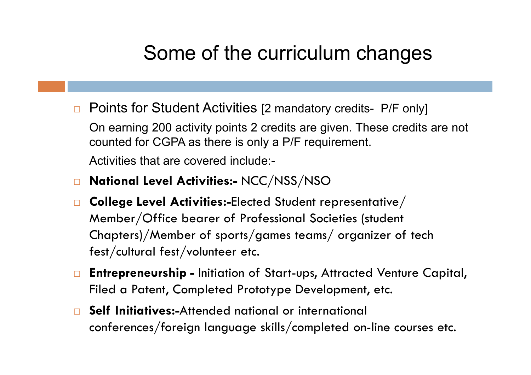**Points for Student Activities [2 mandatory credits- P/F only]** 

On earning 200 activity points 2 credits are given. These credits are not counted for CGPA as there is only a P/F requirement.

Activities that are covered include:-

- □ National Level Activities:- NCC/NSS/NSO
- College Level Activities:-Elected Student representative/ Member/Office bearer of Professional Societies (student Chapters)/Member of sports/games teams/ organizer of tech fest/cultural fest/volunteer etc.
- □ Entrepreneurship Initiation of Start-ups, Attracted Venture Capital, Filed a Patent, Completed Prototype Development, etc.
- Self Initiatives:-Attended national or international conferences/foreign language skills/completed on-line courses etc.